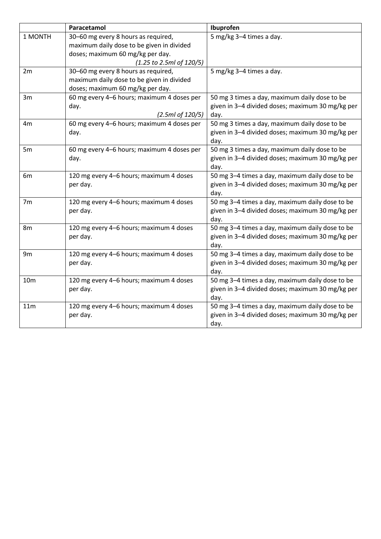|                      | Paracetamol                                | Ibuprofen                                        |
|----------------------|--------------------------------------------|--------------------------------------------------|
| 1 MONTH              | 30-60 mg every 8 hours as required,        | 5 mg/kg 3-4 times a day.                         |
|                      | maximum daily dose to be given in divided  |                                                  |
|                      | doses; maximum 60 mg/kg per day.           |                                                  |
|                      | (1.25 to 2.5ml of 120/5)                   |                                                  |
| 2m                   | 30-60 mg every 8 hours as required,        | 5 mg/kg 3-4 times a day.                         |
|                      | maximum daily dose to be given in divided  |                                                  |
|                      | doses; maximum 60 mg/kg per day.           |                                                  |
| 3m                   | 60 mg every 4-6 hours; maximum 4 doses per | 50 mg 3 times a day, maximum daily dose to be    |
|                      | day.                                       | given in 3-4 divided doses; maximum 30 mg/kg per |
|                      | (2.5ml of 120/5)                           | day.                                             |
| 4m                   | 60 mg every 4-6 hours; maximum 4 doses per | 50 mg 3 times a day, maximum daily dose to be    |
|                      | day.                                       | given in 3-4 divided doses; maximum 30 mg/kg per |
|                      |                                            | day.                                             |
| 5m                   | 60 mg every 4-6 hours; maximum 4 doses per | 50 mg 3 times a day, maximum daily dose to be    |
|                      | day.                                       | given in 3-4 divided doses; maximum 30 mg/kg per |
|                      |                                            | day.                                             |
| 6m<br>7 <sub>m</sub> | 120 mg every 4-6 hours; maximum 4 doses    | 50 mg 3-4 times a day, maximum daily dose to be  |
|                      | per day.                                   | given in 3-4 divided doses; maximum 30 mg/kg per |
|                      |                                            | day.                                             |
|                      | 120 mg every 4-6 hours; maximum 4 doses    | 50 mg 3-4 times a day, maximum daily dose to be  |
|                      | per day.                                   | given in 3-4 divided doses; maximum 30 mg/kg per |
|                      |                                            | day.                                             |
| 8 <sub>m</sub>       | 120 mg every 4-6 hours; maximum 4 doses    | 50 mg 3-4 times a day, maximum daily dose to be  |
|                      | per day.                                   | given in 3-4 divided doses; maximum 30 mg/kg per |
|                      |                                            | day.                                             |
| 9 <sub>m</sub>       | 120 mg every 4-6 hours; maximum 4 doses    | 50 mg 3-4 times a day, maximum daily dose to be  |
|                      | per day.                                   | given in 3-4 divided doses; maximum 30 mg/kg per |
|                      |                                            | day.                                             |
| 10 <sub>m</sub>      | 120 mg every 4-6 hours; maximum 4 doses    | 50 mg 3-4 times a day, maximum daily dose to be  |
|                      | per day.                                   | given in 3-4 divided doses; maximum 30 mg/kg per |
|                      |                                            | day.                                             |
| 11m                  | 120 mg every 4-6 hours; maximum 4 doses    | 50 mg 3-4 times a day, maximum daily dose to be  |
|                      | per day.                                   | given in 3-4 divided doses; maximum 30 mg/kg per |
|                      |                                            | day.                                             |